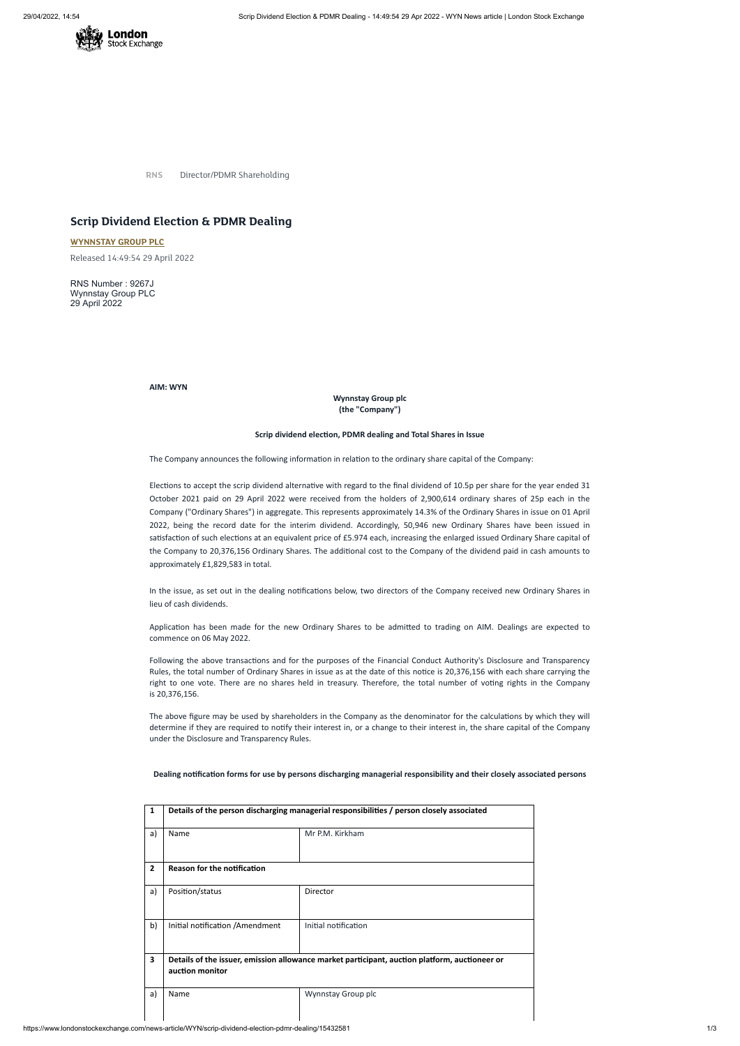

**RNS** Director/PDMR Shareholding

## **Scrip Dividend Election & PDMR Dealing**

**[WYNNSTAY](https://www.londonstockexchange.com/stock/WYN/wynnstay-group-plc) GROUP PLC**

Released 14:49:54 29 April 2022

RNS Number : 9267J Wynnstay Group PLC 29 April 2022

**AIM: WYN**

**Wynnstay Group plc (the "Company")**

## **Scrip dividend election, PDMR dealing and Total Shares in Issue**

The Company announces the following information in relation to the ordinary share capital of the Company:

Elections to accept the scrip dividend alternative with regard to the final dividend of 10.5p per share for the year ended 31 October 2021 paid on 29 April 2022 were received from the holders of 2,900,614 ordinary shares of 25p each in the Company ("Ordinary Shares") in aggregate. This represents approximately 14.3% of the Ordinary Shares in issue on 01 April 2022, being the record date for the interim dividend. Accordingly, 50,946 new Ordinary Shares have been issued in satisfaction of such elections at an equivalent price of £5.974 each, increasing the enlarged issued Ordinary Share capital of the Company to 20,376,156 Ordinary Shares. The additional cost to the Company of the dividend paid in cash amounts to approximately £1,829,583 in total.

In the issue, as set out in the dealing notifications below, two directors of the Company received new Ordinary Shares in lieu of cash dividends.

Application has been made for the new Ordinary Shares to be admitted to trading on AIM. Dealings are expected to commence on 06 May 2022.

Following the above transactions and for the purposes of the Financial Conduct Authority's Disclosure and Transparency Rules, the total number of Ordinary Shares in issue as at the date of this notice is 20,376,156 with each share carrying the right to one vote. There are no shares held in treasury. Therefore, the total number of voting rights in the Company is 20,376,156.

The above figure may be used by shareholders in the Company as the denominator for the calculations by which they will determine if they are required to notify their interest in, or a change to their interest in, the share capital of the Company under the Disclosure and Transparency Rules.

| 1              | Details of the person discharging managerial responsibilities / person closely associated                        |                      |  |  |  |
|----------------|------------------------------------------------------------------------------------------------------------------|----------------------|--|--|--|
| a)             | Name                                                                                                             | Mr P.M. Kirkham      |  |  |  |
| $\overline{2}$ | <b>Reason for the notification</b>                                                                               |                      |  |  |  |
| a)             | Position/status                                                                                                  | Director             |  |  |  |
| b)             | Initial notification / Amendment                                                                                 | Initial notification |  |  |  |
| 3              | Details of the issuer, emission allowance market participant, auction platform, auctioneer or<br>auction monitor |                      |  |  |  |
| a)             | Name                                                                                                             | Wynnstay Group plc   |  |  |  |

https://www.londonstockexchange.com/news-article/WYN/scrip-dividend-election-pdmr-dealing/15432581 1/3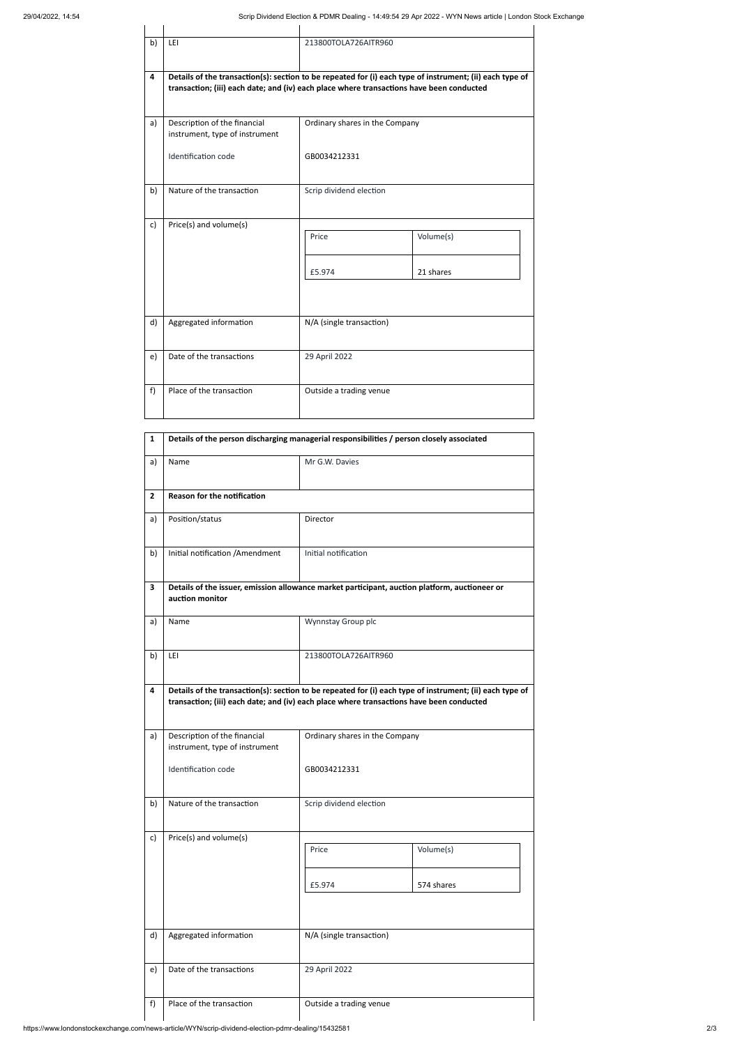| b)                      | LEI                                                                                      | 213800TOLA726AITR960           |                                                                                                          |  |  |  |
|-------------------------|------------------------------------------------------------------------------------------|--------------------------------|----------------------------------------------------------------------------------------------------------|--|--|--|
| $\overline{\mathbf{4}}$ | transaction; (iii) each date; and (iv) each place where transactions have been conducted |                                | Details of the transaction(s): section to be repeated for (i) each type of instrument; (ii) each type of |  |  |  |
| a)                      | Description of the financial<br>instrument, type of instrument                           | Ordinary shares in the Company |                                                                                                          |  |  |  |
|                         | Identification code                                                                      | GB0034212331                   |                                                                                                          |  |  |  |
| b)                      | Nature of the transaction                                                                | Scrip dividend election        |                                                                                                          |  |  |  |
| c)                      | Price(s) and volume(s)                                                                   | Price                          | Volume(s)                                                                                                |  |  |  |
|                         |                                                                                          | £5.974                         | 21 shares                                                                                                |  |  |  |
| d)                      | Aggregated information                                                                   | N/A (single transaction)       |                                                                                                          |  |  |  |
| e)                      | Date of the transactions                                                                 | 29 April 2022                  |                                                                                                          |  |  |  |
| f)                      | Place of the transaction                                                                 | Outside a trading venue        |                                                                                                          |  |  |  |

| b) | Nature of the transaction                                                                          | Scrip dividend election  |                         |  |  |
|----|----------------------------------------------------------------------------------------------------|--------------------------|-------------------------|--|--|
| c) | Price(s) and volume(s)                                                                             | Price<br>£5.974          | Volume(s)<br>574 shares |  |  |
| d) | Aggregated information                                                                             | N/A (single transaction) |                         |  |  |
| e) | Date of the transactions                                                                           | 29 April 2022            |                         |  |  |
| f) | Place of the transaction                                                                           | Outside a trading venue  |                         |  |  |
|    | https://www.londonstockexchange.com/news-article/WYN/scrip-dividend-election-pdmr-dealing/15432581 |                          |                         |  |  |

| $\mathbf{1}$   | Details of the person discharging managerial responsibilities / person closely associated                                                                                                            |                                |  |  |  |
|----------------|------------------------------------------------------------------------------------------------------------------------------------------------------------------------------------------------------|--------------------------------|--|--|--|
| a)             | Name                                                                                                                                                                                                 | Mr G.W. Davies                 |  |  |  |
| $\overline{2}$ | <b>Reason for the notification</b>                                                                                                                                                                   |                                |  |  |  |
| a)             | Position/status                                                                                                                                                                                      | Director                       |  |  |  |
| b)             | Initial notification /Amendment                                                                                                                                                                      | Initial notification           |  |  |  |
| 3              | Details of the issuer, emission allowance market participant, auction platform, auctioneer or<br>auction monitor                                                                                     |                                |  |  |  |
| a)             | Name                                                                                                                                                                                                 | Wynnstay Group plc             |  |  |  |
| b)             | LEI                                                                                                                                                                                                  | 213800TOLA726AITR960           |  |  |  |
| 4              | Details of the transaction(s): section to be repeated for (i) each type of instrument; (ii) each type of<br>transaction; (iii) each date; and (iv) each place where transactions have been conducted |                                |  |  |  |
| a)             | Description of the financial<br>instrument, type of instrument                                                                                                                                       | Ordinary shares in the Company |  |  |  |
|                | Identification code                                                                                                                                                                                  | GB0034212331                   |  |  |  |